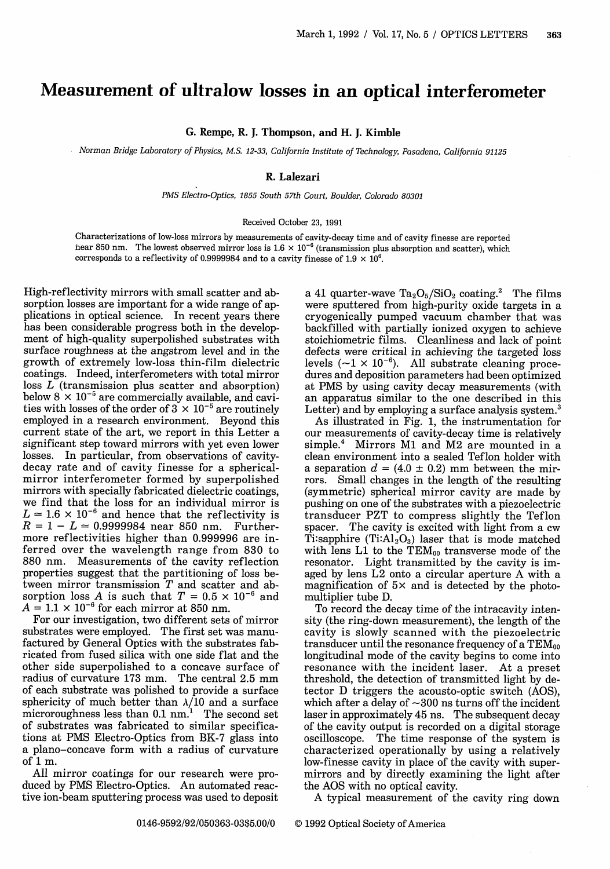## **Measurement of ultralow losses in an optical interferometer**

G. Rempe, R. J. Thompson, and H. J. Kimble

*. Norman Bridge Laboratory of Physics, M.S. 12-33, California Institute of Technology, Pasadena, California 91125*

## R. Lalezari

*PMS Electro-Optics, 1855 South 57th Court, Boulder, Colorado 80301*

## Received October 23, 1991

Characterizations of low-loss mirrors by measurements of cavity-decay time and of cavity finesse are reported hear 850 nm. The lowest observed mirror loss is  $1.6 \times 10^{-6}$  (transmission plus absorption and scatter), which corresponds to a reflectivity of 0.9999984 and to a cavity finesse of  $1.9 \times 10^6$ .

High-reflectivity mirrors with small scatter and absorption losses are important for a wide range of applications in optical science. In recent years there has been considerable progress both in the development of high-quality superpolished substrates with surface roughness at the angstrom level and in the growth of extremely low-loss thin-film dielectric coatings. Indeed, interferometers with total mirror loss *L* (transmission plus scatter and absorption) below  $8 \times 10^{-5}$  are commercially available, and cavities with losses of the order of  $3 \times 10^{-5}$  are routinely employed in a research environment. Beyond this current state of the art, we report in this Letter a significant step toward mirrors with yet even lower losses. In particular, from observations of cavitydecay rate and of cavity finesse for a sphericalmirror interferometer formed by superpolished mirrors with specially fabricated dielectric coatings, we find that the loss for an individual mirror is  $L \approx 1.6 \times 10^{-6}$  and hence that the reflectivity is  $R = 1 - L \approx 0.9999984$  near 850 nm. Furthermore reflectivities higher than 0.999996 are inferred over the wavelength range from 830 to 880 nm. Measurements of the cavity reflection properties suggest that the partitioning of loss between mirror transmission  $T$  and scatter and absorption loss A is such that  $T = 0.5 \times 10^{-6}$  and  $A = 1.1 \times 10^{-6}$  for each mirror at 850 nm.

For our investigation, two different sets of mirror substrates were employed. The first set was manufactured by General Optics with the substrates fabricated from fused silica with one side flat and the other side superpolished to a concave surface of radius of curvature 173 mm. The central 2.5 mm of each substrate was polished to provide a surface sphericity of much better than  $\lambda/10$  and a surface microroughness less than  $0.1 \text{ nm}$ .<sup>1</sup> The second set of substrates was fabricated to similar specifications at PMS Electro-Optics from BK-7 glass into a plano-concave form with a radius of curvature of 1 m.

All mirror coatings for our research were produced by PMS Electro-Optics. An automated reactive ion-beam sputtering process was used to deposit

a 41 quarter-wave  $Ta_2O_5/SiO_2$  coating.<sup>2</sup> The films were sputtered from high-purity oxide targets in a cryogenically pumped vacuum chamber that was backfilled with partially ionized oxygen to achieve stoichiometric films. Cleanliness and lack of point defects were critical in achieving the targeted loss levels  $({\sim}1 \times 10^{-6})$ . All substrate cleaning procedures and deposition parameters had been optimized at PMS by using cavity decay measurements (with an apparatus similar to the one described in this Letter) and by employing a surface analysis system.<sup>3</sup>

As illustrated in Fig. 1, the instrumentation for our measurements of cavity-decay time is relatively simple.<sup>4</sup> Mirrors M1 and M2 are mounted in a clean environment into a sealed Teflon holder with a separation  $d = (4.0 \pm 0.2)$  mm between the mirrors. Small changes in the length of the resulting (symmetric) spherical mirror cavity are made by transducer PZT to compress slightly the Teflon spacer. The cavity is excited with light from a cw Ti:sapphire  $(Ti:Al_2O_3)$  laser that is mode matched with lens L1 to the  $TEM_{00}$  transverse mode of the resonator. Light transmitted by the cavity is imaged by lens L2 onto a circular aperture A with a magnification of  $5 \times$  and is detected by the photomultiplier tube D.

To record the decay time of the intracavity intensity (the ring-down measurement), the length of the cavity is slowly scanned with the piezoelectric transducer until the resonance frequency of a TEMoo longitudinal mode of the cavity begins to come into resonance with the incident laser. At a preset threshold, the detection of transmitted light by detector D triggers the acousto-optic switch (AOS), which after a delay of  $\sim$  300 ns turns off the incident laser in approximately 45 ns. The subsequent decay of the cavity output is recorded on a digital storage oscilloscope. The time response of the system is characterized operationally by using a relatively low-finesse cavity in place of the cavity with supermirrors and by directly examining the light after the AOS with no optical cavity.

A typical measurement of the cavity ring down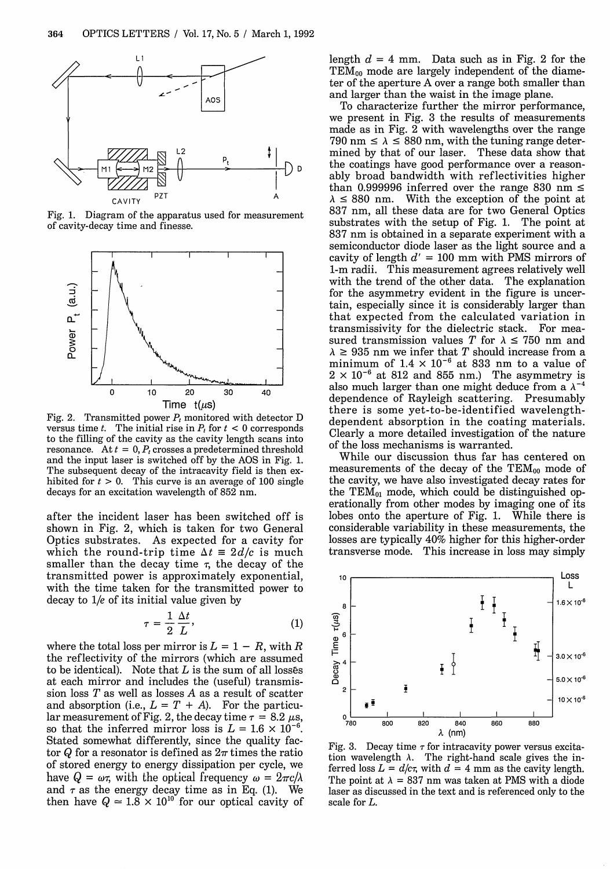

Fig. 1. Diagram of the apparatus used for measurement of cavity-decay time and finesse.



Fig. 2. Transmitted power  $P_t$  monitored with detector D versus time t. The initial rise in  $P_t$  for  $t < 0$  corresponds to the filling of the cavity as the cavity length scans into resonance. At  $t = 0$ ,  $P_t$  crosses a predetermined threshold and the input laser is switched off by the AOS in Fig. 1. The subsequent decay of the intracavity field is then exhibited for  $t > 0$ . This curve is an average of 100 single decays for an excitation wavelength of 852 nm.

after the incident laser has been switched off is shown in Fig. 2, which is taken for two General Optics substrates. As expected for a cavity for which the round-trip time  $\Delta t = 2d/c$  is much smaller than the decay time  $\tau$ , the decay of the transmitted power is approximately exponential, with the time taken for the transmitted power to decay to l/e of its initial value given by

$$
\tau = \frac{1}{2} \frac{\Delta t}{L},\tag{1}
$$

where the total loss per mirror is  $L = 1 - R$ , with R the reflectivity of the mirrors (which are assumed to be identical). Note that  $L$  is the sum of all losses at each mirror and includes the (useful) transmission loss *T* as well as losses A as a result of scatter and absorption (i.e.,  $L = T + A$ ). For the particular measurement of Fig. 2, the decay time  $\tau = 8.2 \mu s$ , so that the inferred mirror loss is  $L = 1.6 \times 10^{-6}$ . Stated somewhat differently, since the quality factor Q for a resonator is defined as  $2\pi$  times the ratio of stored energy to energy dissipation per cycle, we have  $Q = \omega \tau$ , with the optical frequency  $\omega = 2\pi c/\lambda$ and  $\tau$  as the energy decay time as in Eq. (1). We then have  $Q \approx 1.8 \times 10^{10}$  for our optical cavity of length  $d = 4$  mm. Data such as in Fig. 2 for the  $TEM_{00}$  mode are largely independent of the diameter of the aperture A over a range both smaller than and larger than the waist in the image plane.

To characterize further the mirror performance, we present in Fig. 3 the results of measurements made as in Fig. 2 with wavelengths over the range 790 nm  $\le \lambda \le 880$  nm, with the tuning range determined by that of our laser. These data show that the coatings have good performance over a reasonably broad bandwidth with reflectivities higher than 0.999996 inferred over the range 830 nm  $\leq$  $\lambda \leq 880$  nm. With the exception of the point at 837 nm, all these data are for two General Optics substrates with the setup of Fig. 1. The point at 837 nm is obtained in a separate experiment with a semiconductor diode laser as the light source and a cavity of length *d' =* 100 mm with PMS mirrors of 1-m radii. This measurement agrees relatively well with the trend of the other data. The explanation for the asymmetry evident in the figure is uncertain, especially since it is considerably larger than that expected from the calculated variation in transmissivity for the dielectric stack. For measured transmission values T for  $\lambda \le 750$  nm and  $\lambda \geq 935$  nm we infer that T should increase from a minimum of  $1.4 \times 10^{-6}$  at 833 nm to a value of  $2 \times 10^{-6}$  at 812 and 855 nm.) The asymmetry is also much larger than one might deduce from a  $\lambda^{-4}$ dependence of Rayleigh scattering. Presumably there is some yet-to-be-identified wavelengthdependent absorption in the coating materials. Clearly a more detailed investigation of the nature of the loss mechanisms is warranted.

While our discussion thus far has centered on measurements of the decay of the  $TEM_{00}$  mode of the cavity, we have also investigated decay rates for the  $TEM_{01}$  mode, which could be distinguished operationally from other modes by imaging one of its lobes onto the aperture of Fig. 1. While there is considerable variability in these measurements, the losses are typically 40% higher for this higher-order transverse mode. This increase in loss may simply



Fig. 3. Decay time  $\tau$  for intracavity power versus excitation wavelength  $\lambda$ . The right-hand scale gives the inferred loss  $L = d/c\tau$ , with  $d = 4$  mm as the cavity length. The point at  $\lambda = 837$  nm was taken at PMS with a diode laser as discussed in the text and is referenced only to the scale for L.